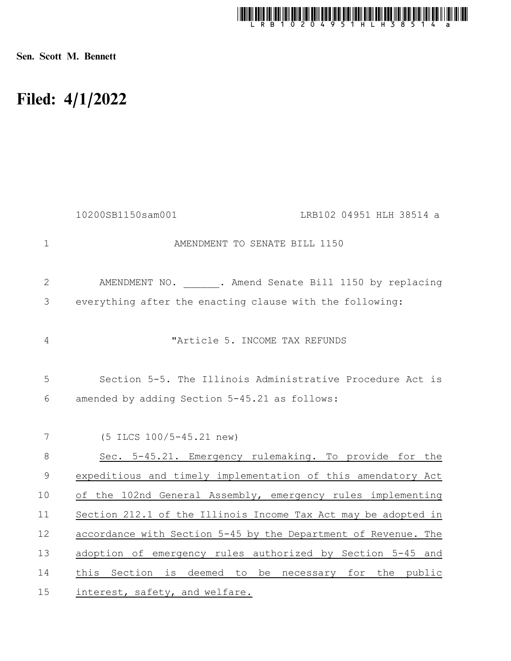

Sen. Scott M. Bennett

## Filed: 4/1/2022

|                | 10200SB1150sam001<br>LRB102 04951 HLH 38514 a                  |
|----------------|----------------------------------------------------------------|
| $\mathbf{1}$   | AMENDMENT TO SENATE BILL 1150                                  |
| $\mathbf{2}$   | AMENDMENT NO. . Amend Senate Bill 1150 by replacing            |
| 3              | everything after the enacting clause with the following:       |
| 4              | "Article 5. INCOME TAX REFUNDS                                 |
| 5              | Section 5-5. The Illinois Administrative Procedure Act is      |
| 6              | amended by adding Section 5-45.21 as follows:                  |
|                |                                                                |
| $\overline{7}$ | (5 ILCS 100/5-45.21 new)                                       |
| $8\,$          | Sec. 5-45.21. Emergency rulemaking. To provide for the         |
| $\mathcal{G}$  | expeditious and timely implementation of this amendatory Act   |
| 10             | of the 102nd General Assembly, emergency rules implementing    |
| 11             | Section 212.1 of the Illinois Income Tax Act may be adopted in |
| 12             | accordance with Section 5-45 by the Department of Revenue. The |
| 13             | adoption of emergency rules authorized by Section 5-45 and     |
| 14             | this Section is deemed to be necessary for the public          |
| 15             | interest, safety, and welfare.                                 |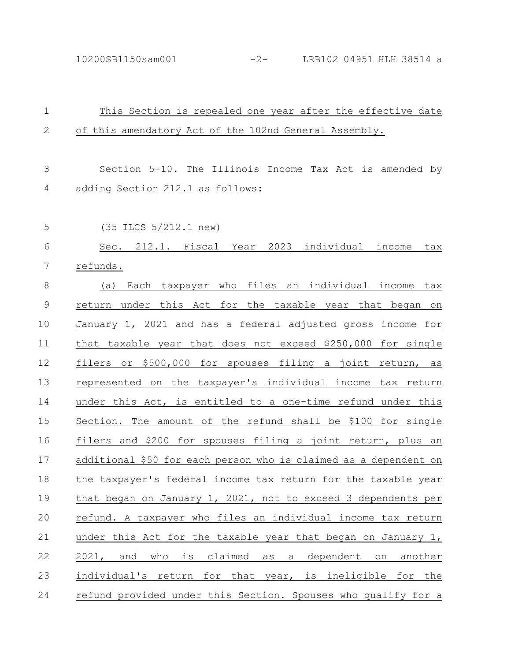10200SB1150sam001 -2- LRB102 04951 HLH 38514 a

| $\mathbf 1$  | This Section is repealed one year after the effective date       |
|--------------|------------------------------------------------------------------|
| $\mathbf{2}$ | of this amendatory Act of the 102nd General Assembly.            |
|              |                                                                  |
| 3            | Section 5-10. The Illinois Income Tax Act is amended by          |
| 4            | adding Section 212.1 as follows:                                 |
|              |                                                                  |
| 5            | (35 ILCS 5/212.1 new)                                            |
| 6            | Sec. 212.1. Fiscal Year 2023 individual income<br>tax            |
| 7            | refunds.                                                         |
| $8\,$        | Each taxpayer who files an individual income tax<br>(a)          |
| $\mathsf 9$  | return under this Act for the taxable year that began on         |
| 10           | January 1, 2021 and has a federal adjusted gross income for      |
| 11           | that taxable year that does not exceed \$250,000 for single      |
| 12           | filers or \$500,000 for spouses filing a joint<br>return, as     |
| 13           | represented on the taxpayer's individual income tax return       |
| 14           | under this Act, is entitled to a one-time refund under this      |
| 15           | Section. The amount of the refund shall be \$100 for single      |
| 16           | filers and \$200 for spouses filing a joint return, plus an      |
| 17           | additional \$50 for each person who is claimed as a dependent on |
| $18\,$       | the taxpayer's federal income tax return for the taxable year    |
| 19           | that began on January 1, 2021, not to exceed 3 dependents per    |
| 20           | refund. A taxpayer who files an individual income tax return     |
| 21           | under this Act for the taxable year that began on January 1,     |
| 22           | 2021, and who is claimed as a dependent on another               |
| 23           | individual's return for that year, is ineligible for the         |
| 24           | refund provided under this Section. Spouses who qualify for a    |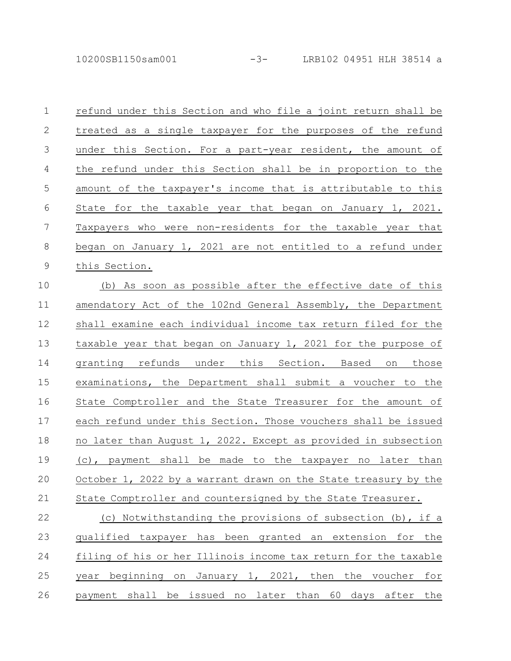10200SB1150sam001 -3- LRB102 04951 HLH 38514 a

| $\mathbf 1$     | refund under this Section and who file a joint return shall be  |
|-----------------|-----------------------------------------------------------------|
| $\mathbf{2}$    | treated as a single taxpayer for the purposes of the refund     |
| $\mathfrak{Z}$  | under this Section. For a part-year resident, the amount of     |
| $\overline{4}$  | the refund under this Section shall be in proportion to the     |
| $\overline{5}$  | amount of the taxpayer's income that is attributable to this    |
| $6\,$           | State for the taxable year that began on January 1, 2021.       |
| $7\phantom{.0}$ | Taxpayers who were non-residents for the taxable year that      |
| 8               | began on January 1, 2021 are not entitled to a refund under     |
| $\mathsf 9$     | this Section.                                                   |
| 10              | (b) As soon as possible after the effective date of this        |
| 11              | amendatory Act of the 102nd General Assembly, the Department    |
| 12              | shall examine each individual income tax return filed for the   |
| 13              | taxable year that began on January 1, 2021 for the purpose of   |
| 14              | granting refunds under this Section. Based on those             |
| 15              | examinations, the Department shall submit a voucher to the      |
| 16              | State Comptroller and the State Treasurer for the amount of     |
| 17              | each refund under this Section. Those vouchers shall be issued  |
| 18              | no later than August 1, 2022. Except as provided in subsection  |
| 19              | (c), payment shall be made to the taxpayer no later than        |
| 20              | October 1, 2022 by a warrant drawn on the State treasury by the |
| 21              | State Comptroller and countersigned by the State Treasurer.     |
| 22              | (c) Notwithstanding the provisions of subsection (b), if a      |
| 23              | qualified taxpayer has been granted an extension for<br>the     |
| 24              | filing of his or her Illinois income tax return for the taxable |
| 25              | year beginning on January 1, 2021, then the voucher for         |
|                 |                                                                 |

26 payment shall be issued no later than 60 days after the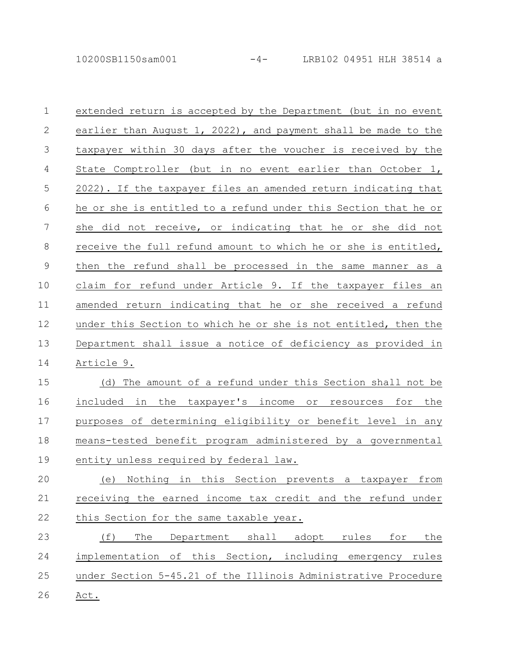10200SB1150sam001 -4- LRB102 04951 HLH 38514 a

extended return is accepted by the Department (but in no event earlier than August 1, 2022), and payment shall be made to the taxpayer within 30 days after the voucher is received by the State Comptroller (but in no event earlier than October 1, 2022). If the taxpayer files an amended return indicating that he or she is entitled to a refund under this Section that he or she did not receive, or indicating that he or she did not receive the full refund amount to which he or she is entitled, then the refund shall be processed in the same manner as a claim for refund under Article 9. If the taxpayer files an amended return indicating that he or she received a refund under this Section to which he or she is not entitled, then the Department shall issue a notice of deficiency as provided in Article 9. (d) The amount of a refund under this Section shall not be included in the taxpayer's income or resources for the purposes of determining eligibility or benefit level in any means-tested benefit program administered by a governmental entity unless required by federal law. (e) Nothing in this Section prevents a taxpayer from receiving the earned income tax credit and the refund under this Section for the same taxable year. (f) The Department shall adopt rules for the implementation of this Section, including emergency rules under Section 5-45.21 of the Illinois Administrative Procedure Act. 1 2 3 4 5 6 7 8 9 10 11 12 13 14 15 16 17 18 19 20 21 22 23 24 25 26